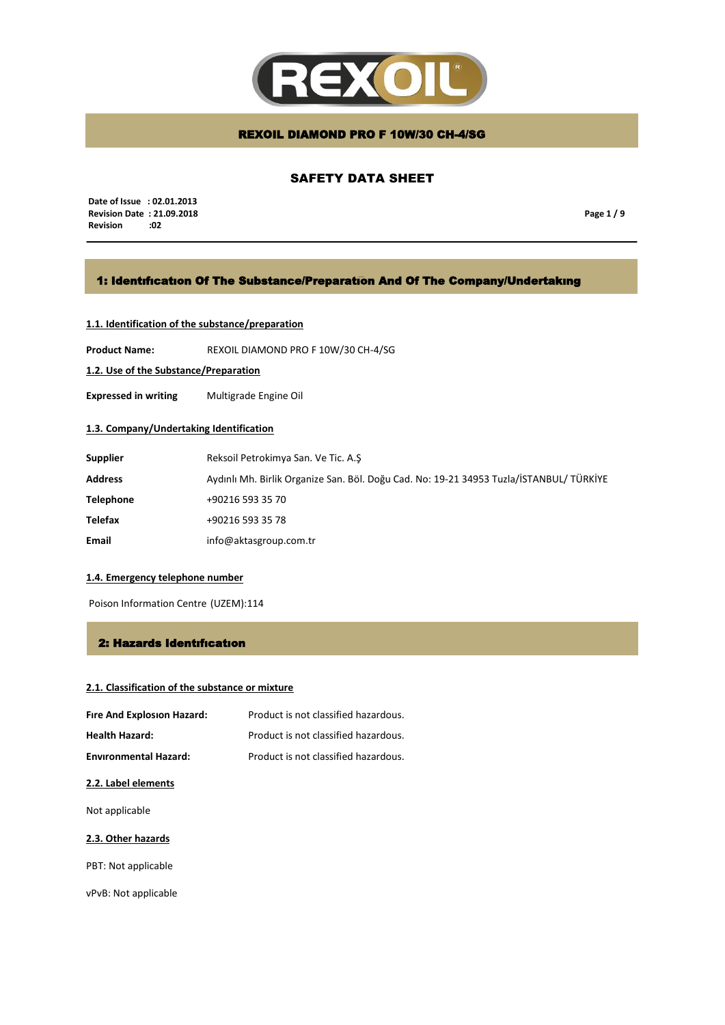

# SAFETY DATA SHEET

 **Date of Issue : 02.01.2013 Revision Date : 21.09.2018 Revision** 

**Page 1 / 9**

# 1: Identıfıcatıon Of The Substance/Preparatıon And Of The Company/Undertakıng

### **1.1. Identification of the substance/preparation**

**Product Name:** REXOIL DIAMOND PRO F 10W/30 CH-4/SG

**1.2. Use of the Substance/Preparation**

**Expressed in writing** Multigrade Engine Oil

# **1.3. Company/Undertaking Identification**

| <b>Supplier</b>  | Reksoil Petrokimya San. Ve Tic. A.S                                                     |
|------------------|-----------------------------------------------------------------------------------------|
| <b>Address</b>   | Aydınlı Mh. Birlik Organize San. Böl. Doğu Cad. No: 19-21 34953 Tuzla/İSTANBUL/ TÜRKİYE |
| <b>Telephone</b> | +90216 593 35 70                                                                        |
| <b>Telefax</b>   | +90216 593 35 78                                                                        |
| Email            | info@aktasgroup.com.tr                                                                  |

### **1.4. Emergency telephone number**

Poison Information Centre (UZEM):114

### 2: Hazards Identıfıcatıon

# **2.1. Classification of the substance or mixture**

| Fire And Explosion Hazard:   | Product is not classified hazardous. |
|------------------------------|--------------------------------------|
| <b>Health Hazard:</b>        | Product is not classified hazardous. |
| <b>Environmental Hazard:</b> | Product is not classified hazardous. |

### **2.2. Label elements**

Not applicable

### **2.3. Other hazards**

PBT: Not applicable

vPvB: Not applicable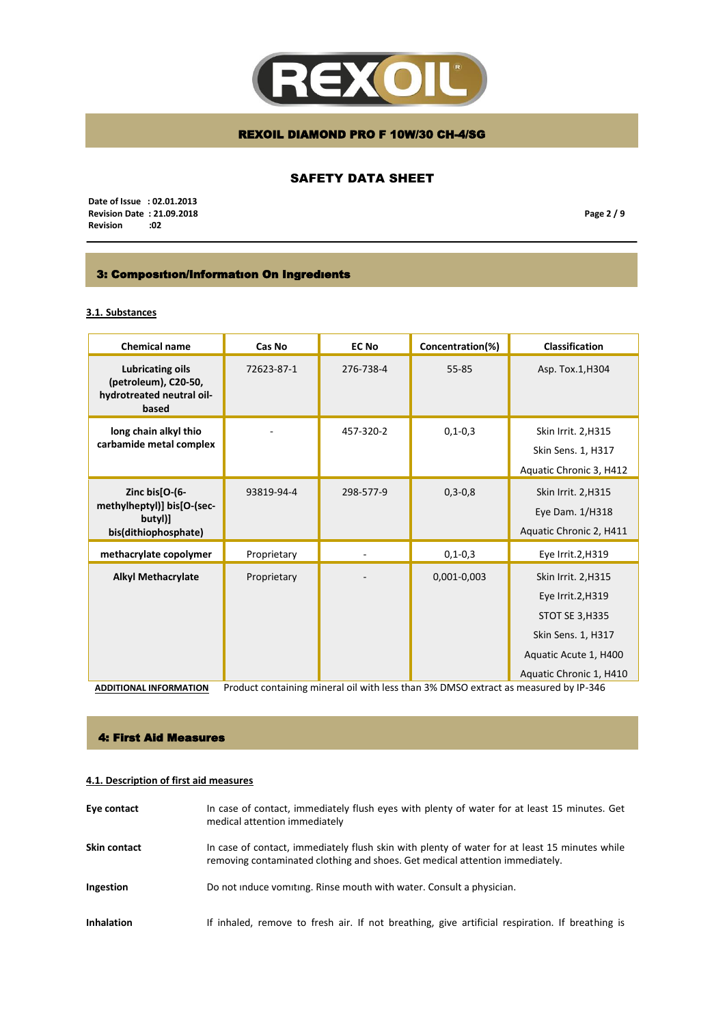

# SAFETY DATA SHEET

 **Date of Issue : 02.01.2013 Revision Date : 21.09.2018 Revision** 

**Page 2 / 9**

# 3: Composıtıon/Informatıon On Ingredıents

# **3.1. Substances**

| <b>Chemical name</b>                                                                  | Cas No      | <b>EC No</b> | Concentration(%)                                                                                   | <b>Classification</b>                                                                                                                 |
|---------------------------------------------------------------------------------------|-------------|--------------|----------------------------------------------------------------------------------------------------|---------------------------------------------------------------------------------------------------------------------------------------|
| <b>Lubricating oils</b><br>(petroleum), C20-50,<br>hydrotreated neutral oil-<br>based | 72623-87-1  | 276-738-4    | 55-85                                                                                              | Asp. Tox.1, H304                                                                                                                      |
| long chain alkyl thio<br>carbamide metal complex                                      |             | 457-320-2    | $0, 1 - 0, 3$                                                                                      | Skin Irrit. 2, H315<br>Skin Sens. 1, H317<br>Aquatic Chronic 3, H412                                                                  |
| Zinc bis[O-(6-<br>methylheptyl)] bis[O-(sec-<br>butyl)]<br>bis(dithiophosphate)       | 93819-94-4  | 298-577-9    | $0, 3 - 0, 8$                                                                                      | Skin Irrit. 2, H315<br>Eye Dam. 1/H318<br>Aquatic Chronic 2, H411                                                                     |
| methacrylate copolymer                                                                | Proprietary |              | $0, 1 - 0, 3$                                                                                      | Eye Irrit.2, H319                                                                                                                     |
| <b>Alkyl Methacrylate</b><br>ADDITIONAL INCODMATION                                   | Proprietary |              | 0,001-0,003<br>Broduct containing minoral oil with loss than 2% BMSO ovtract as moasured by ID 246 | Skin Irrit. 2, H315<br>Eye Irrit.2, H319<br>STOT SE 3, H335<br>Skin Sens. 1, H317<br>Aquatic Acute 1, H400<br>Aquatic Chronic 1, H410 |

**ADDITIONAL INFORMATION** Product containing mineral oil with less than 3% DMSO extract as measured by IP-346

### 4: First Aid Measures

# **4.1. Description of first aid measures**

| Eye contact         | In case of contact, immediately flush eyes with plenty of water for at least 15 minutes. Get<br>medical attention immediately                                                 |
|---------------------|-------------------------------------------------------------------------------------------------------------------------------------------------------------------------------|
| <b>Skin contact</b> | In case of contact, immediately flush skin with plenty of water for at least 15 minutes while<br>removing contaminated clothing and shoes. Get medical attention immediately. |
| Ingestion           | Do not induce vomiting. Rinse mouth with water. Consult a physician.                                                                                                          |
| <b>Inhalation</b>   | If inhaled, remove to fresh air. If not breathing, give artificial respiration. If breathing is                                                                               |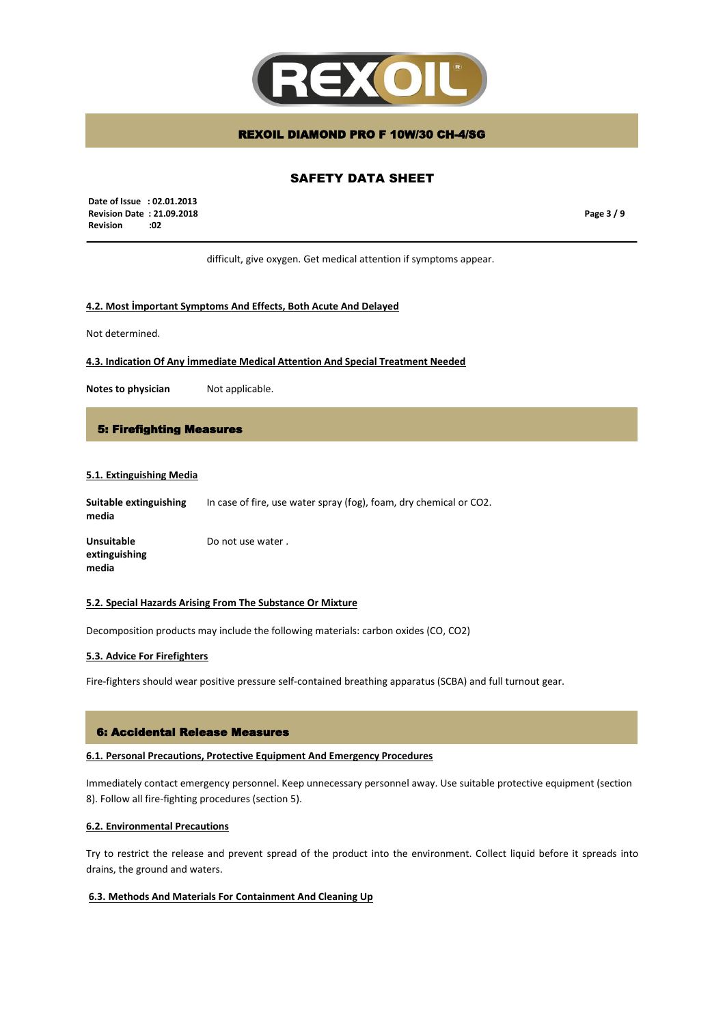

# SAFETY DATA SHEET

 **Date of Issue : 02.01.2013 Revision Date : 21.09.2018 Revision :02**

**Page 3 / 9**

difficult, give oxygen. Get medical attention if symptoms appear.

### **4.2. Most İmportant Symptoms And Effects, Both Acute And Delayed**

Not determined.

**4.3. Indication Of Any İmmediate Medical Attention And Special Treatment Needed**

**Notes to physician** Not applicable.

#### 5: Firefighting Measures

### **5.1. Extinguishing Media**

**Suitable extinguishing media** In case of fire, use water spray (fog), foam, dry chemical or CO2.

**Unsuitable extinguishing media** Do not use water .

#### **5.2. Special Hazards Arising From The Substance Or Mixture**

Decomposition products may include the following materials: carbon oxides (CO, CO2)

#### **5.3. Advice For Firefighters**

Fire-fighters should wear positive pressure self-contained breathing apparatus (SCBA) and full turnout gear.

#### 6: Accidental Release Measures

### **6.1. Personal Precautions, Protective Equipment And Emergency Procedures**

Immediately contact emergency personnel. Keep unnecessary personnel away. Use suitable protective equipment (section 8). Follow all fire-fighting procedures (section 5).

#### **6.2. Environmental Precautions**

Try to restrict the release and prevent spread of the product into the environment. Collect liquid before it spreads into drains, the ground and waters.

### **6.3. Methods And Materials For Containment And Cleaning Up**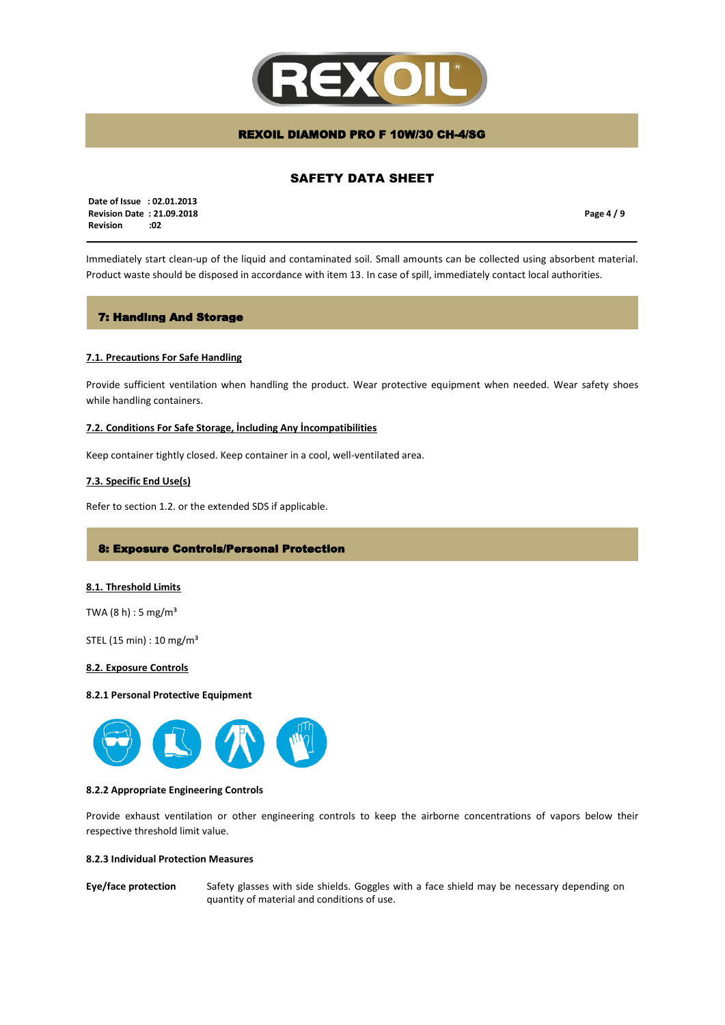

# SAFETY DATA SHEET

 **Date of Issue : 02.01.2013 Revision Date : 21.09.2018 Revision :02**

**Page 4 / 9**

Immediately start clean-up of the liquid and contaminated soil. Small amounts can be collected using absorbent material. Product waste should be disposed in accordance with item 13. In case of spill, immediately contact local authorities.

### 7: Handlıng And Storage

### **7.1. Precautions For Safe Handling**

Provide sufficient ventilation when handling the product. Wear protective equipment when needed. Wear safety shoes while handling containers.

### **7.2. Conditions For Safe Storage, İncluding Any İncompatibilities**

Keep container tightly closed. Keep container in a cool, well-ventilated area.

### **7.3. Specific End Use(s)**

Refer to section 1.2. or the extended SDS if applicable.

### 8: Exposure Controls/Personal Protection

#### **8.1. Threshold Limits**

TWA  $(8 h) : 5 mg/m<sup>3</sup>$ 

STEL (15 min) : 10 mg/m³

### **8.2. Exposure Controls**

#### **8.2.1 Personal Protective Equipment**



### **8.2.2 Appropriate Engineering Controls**

Provide exhaust ventilation or other engineering controls to keep the airborne concentrations of vapors below their respective threshold limit value.

### **8.2.3 Individual Protection Measures**

**Eye/face protection** Safety glasses with side shields. Goggles with a face shield may be necessary depending on quantity of material and conditions of use.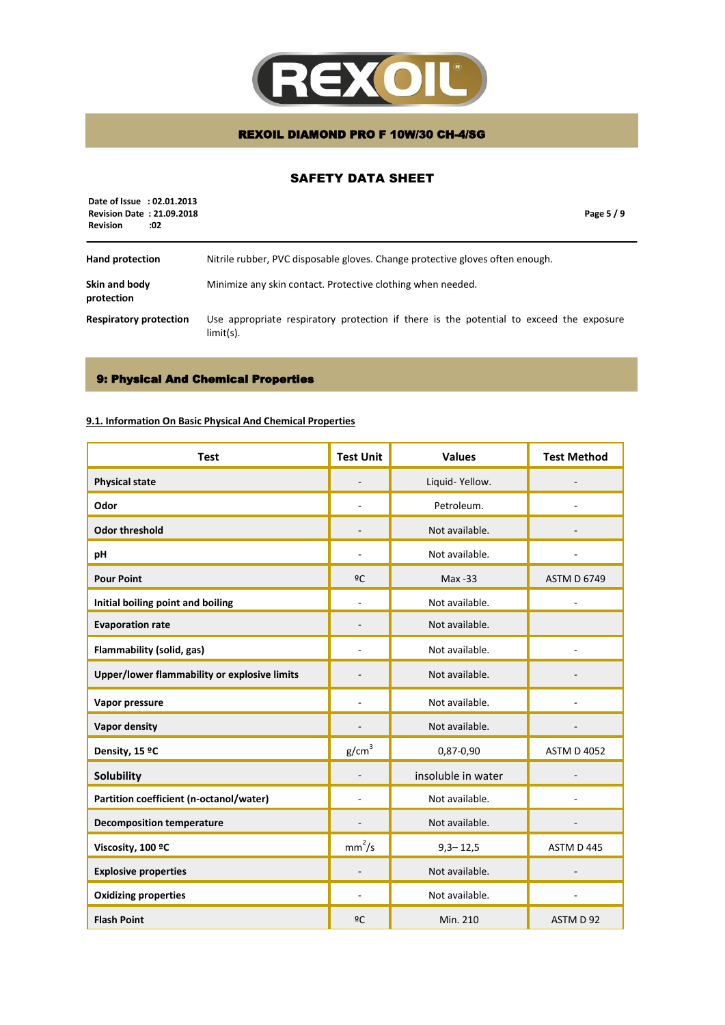

# SAFETY DATA SHEET

| Date of Issue : 02.01.2013<br><b>Revision Date: 21.09.2018</b><br><b>Revision</b><br>:02 |                                                                                                         | Page 5/9 |
|------------------------------------------------------------------------------------------|---------------------------------------------------------------------------------------------------------|----------|
| <b>Hand protection</b>                                                                   | Nitrile rubber, PVC disposable gloves. Change protective gloves often enough.                           |          |
| Skin and body<br>protection                                                              | Minimize any skin contact. Protective clothing when needed.                                             |          |
| <b>Respiratory protection</b>                                                            | Use appropriate respiratory protection if there is the potential to exceed the exposure<br>$limit(s)$ . |          |

# 9: Physical And Chemical Properties

# **9.1. Information On Basic Physical And Chemical Properties**

| <b>Test</b>                                  | <b>Test Unit</b>   | <b>Values</b>      | <b>Test Method</b> |
|----------------------------------------------|--------------------|--------------------|--------------------|
| <b>Physical state</b>                        |                    | Liquid-Yellow.     |                    |
| Odor                                         |                    | Petroleum.         |                    |
| <b>Odor threshold</b>                        |                    | Not available.     |                    |
| рH                                           |                    | Not available.     |                    |
| <b>Pour Point</b>                            | 2C                 | $Max - 33$         | <b>ASTM D 6749</b> |
| Initial boiling point and boiling            |                    | Not available.     |                    |
| <b>Evaporation rate</b>                      | $\overline{a}$     | Not available.     |                    |
| Flammability (solid, gas)                    |                    | Not available.     |                    |
| Upper/lower flammability or explosive limits |                    | Not available.     |                    |
| Vapor pressure                               |                    | Not available.     |                    |
| <b>Vapor density</b>                         |                    | Not available.     |                    |
| Density, 15 °C                               | g/cm <sup>3</sup>  | 0,87-0,90          | <b>ASTM D 4052</b> |
| Solubility                                   |                    | insoluble in water |                    |
| Partition coefficient (n-octanol/water)      |                    | Not available.     |                    |
| <b>Decomposition temperature</b>             |                    | Not available.     |                    |
| Viscosity, 100 °C                            | mm <sup>2</sup> /s | $9,3 - 12,5$       | ASTM D 445         |
| <b>Explosive properties</b>                  |                    | Not available.     |                    |
| <b>Oxidizing properties</b>                  |                    | Not available.     |                    |
| <b>Flash Point</b>                           | 2C                 | Min. 210           | ASTM D 92          |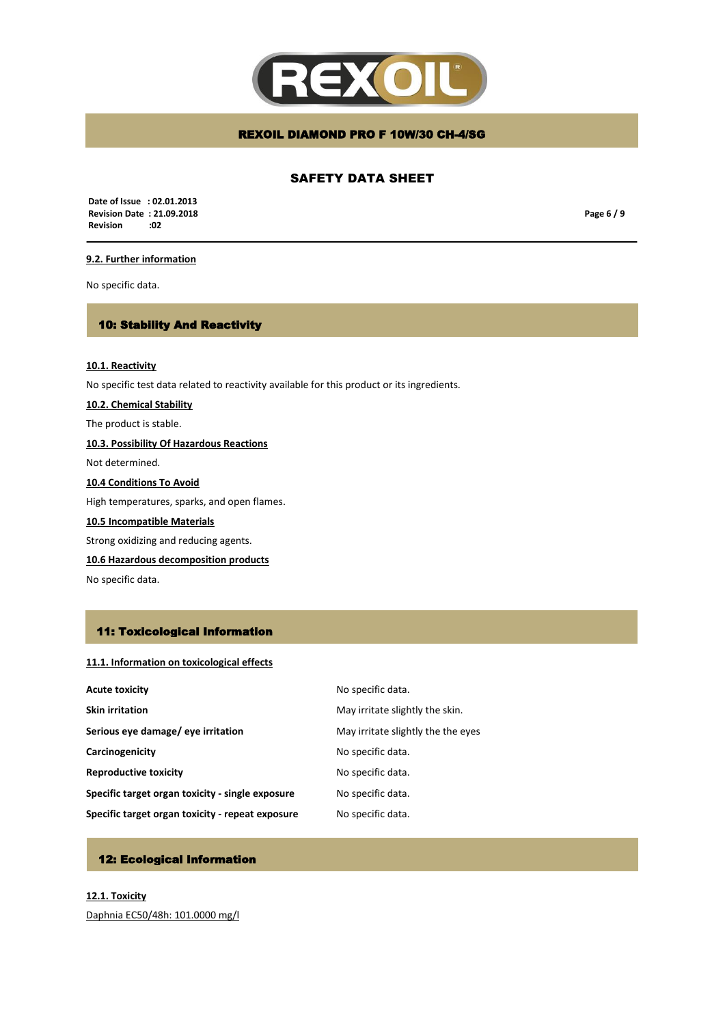

# SAFETY DATA SHEET

 **Date of Issue : 02.01.2013 Revision Date : 21.09.2018 Revision** 

**Page 6 / 9**

# **9.2. Further information**

No specific data.

### 10: Stability And Reactivity

**10.1. Reactivity** No specific test data related to reactivity available for this product or its ingredients. **10.2. Chemical Stability** The product is stable. **10.3. Possibility Of Hazardous Reactions** Not determined. **10.4 Conditions To Avoid**

High temperatures, sparks, and open flames.

### **10.5 Incompatible Materials**

Strong oxidizing and reducing agents.

**10.6 Hazardous decomposition products**

No specific data.

### 11: Toxicological Information

### **11.1. Information on toxicological effects**

| <b>Acute toxicity</b>                            | No specific data.                  |
|--------------------------------------------------|------------------------------------|
| <b>Skin irritation</b>                           | May irritate slightly the skin.    |
| Serious eye damage/ eye irritation               | May irritate slightly the the eyes |
| Carcinogenicity                                  | No specific data.                  |
| <b>Reproductive toxicity</b>                     | No specific data.                  |
| Specific target organ toxicity - single exposure | No specific data.                  |
| Specific target organ toxicity - repeat exposure | No specific data.                  |

# 12: Ecological Information

**12.1. Toxicity** Daphnia EC50/48h: 101.0000 mg/l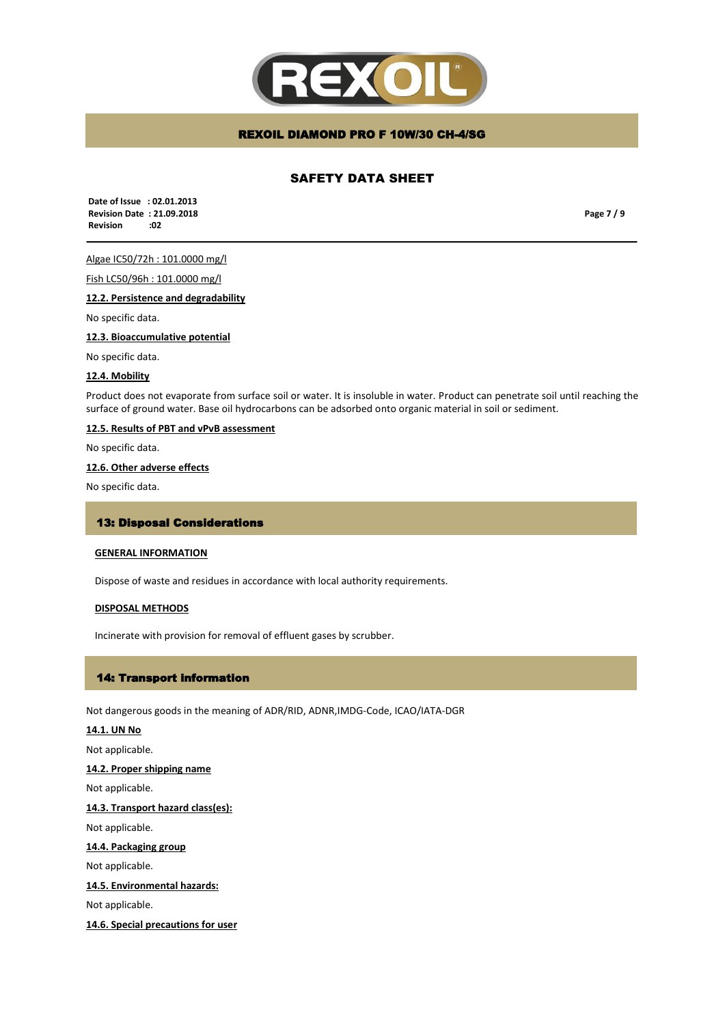

# SAFETY DATA SHEET

 **Date of Issue : 02.01.2013 Revision Date : 21.09.2018 Revision :02**

**Page 7 / 9**

Algae IC50/72h : 101.0000 mg/l

Fish LC50/96h : 101.0000 mg/l

**12.2. Persistence and degradability** 

No specific data.

**12.3. Bioaccumulative potential**

No specific data.

### **12.4. Mobility**

Product does not evaporate from surface soil or water. It is insoluble in water. Product can penetrate soil until reaching the surface of ground water. Base oil hydrocarbons can be adsorbed onto organic material in soil or sediment.

### **12.5. Results of PBT and vPvB assessment**

No specific data.

### **12.6. Other adverse effects**

No specific data.

### 13: Disposal Considerations

### **GENERAL INFORMATION**

Dispose of waste and residues in accordance with local authority requirements.

#### **DISPOSAL METHODS**

Incinerate with provision for removal of effluent gases by scrubber.

### 14: Transport information

Not dangerous goods in the meaning of ADR/RID, ADNR,IMDG-Code, ICAO/IATA-DGR

# **14.1. UN No** Not applicable. **14.2. Proper shipping name** Not applicable. **14.3. Transport hazard class(es):** Not applicable. **14.4. Packaging group**  Not applicable. **14.5. Environmental hazards:** Not applicable. **14.6. Special precautions for user**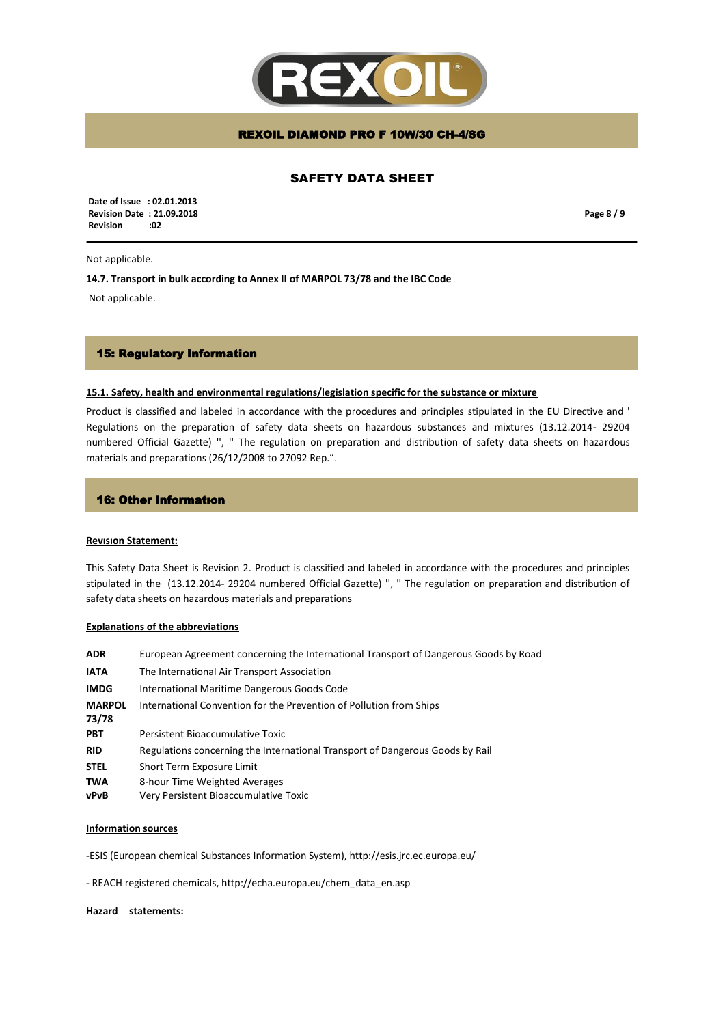

# SAFETY DATA SHEET

 **Date of Issue : 02.01.2013 Revision Date : 21.09.2018 Revision :02**

**Page 8 / 9**

### Not applicable.

**14.7. Transport in bulk according to Annex II of MARPOL 73/78 and the IBC Code**

Not applicable.

# 15: Regulatory Information

### **15.1. Safety, health and environmental regulations/legislation specific for the substance or mixture**

Product is classified and labeled in accordance with the procedures and principles stipulated in the EU Directive and ' Regulations on the preparation of safety data sheets on hazardous substances and mixtures (13.12.2014- 29204 numbered Official Gazette) '', '' The regulation on preparation and distribution of safety data sheets on hazardous materials and preparations (26/12/2008 to 27092 Rep.".

### 16: Other Informatıon

#### **Revısıon Statement:**

This Safety Data Sheet is Revision 2. Product is classified and labeled in accordance with the procedures and principles stipulated in the (13.12.2014- 29204 numbered Official Gazette) '', '' The regulation on preparation and distribution of safety data sheets on hazardous materials and preparations

#### **Explanations of the abbreviations**

| <b>ADR</b>             | European Agreement concerning the International Transport of Dangerous Goods by Road |
|------------------------|--------------------------------------------------------------------------------------|
| <b>IATA</b>            | The International Air Transport Association                                          |
| <b>IMDG</b>            | International Maritime Dangerous Goods Code                                          |
| <b>MARPOL</b><br>73/78 | International Convention for the Prevention of Pollution from Ships                  |
| <b>PBT</b>             | Persistent Bioaccumulative Toxic                                                     |
| <b>RID</b>             | Regulations concerning the International Transport of Dangerous Goods by Rail        |
| <b>STEL</b>            | Short Term Exposure Limit                                                            |
| <b>TWA</b>             | 8-hour Time Weighted Averages                                                        |
| vPvB                   | Very Persistent Bioaccumulative Toxic                                                |

#### **Information sources**

-ESIS (European chemical Substances Information System), http://esis.jrc.ec.europa.eu/

- REACH registered chemicals, http://echa.europa.eu/chem\_data\_en.asp

#### **Hazard statements:**